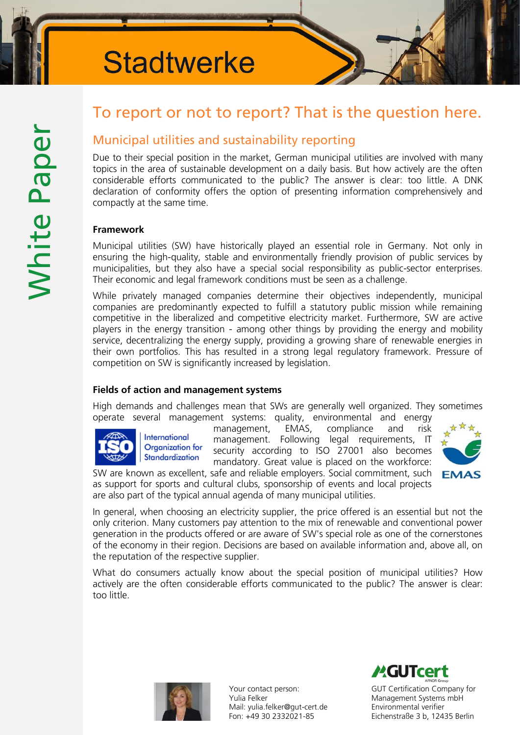# **Stadtwerke**

# To report or not to report? That is the question here.

# Municipal utilities and sustainability reporting

Due to their special position in the market, German municipal utilities are involved with many topics in the area of sustainable development on a daily basis. But how actively are the often considerable efforts communicated to the public? The answer is clear: too little. A DNK declaration of conformity offers the option of presenting information comprehensively and compactly at the same time.

#### Framework

Municipal utilities (SW) have historically played an essential role in Germany. Not only in ensuring the high-quality, stable and environmentally friendly provision of public services by municipalities, but they also have a special social responsibility as public-sector enterprises. Their economic and legal framework conditions must be seen as a challenge.

While privately managed companies determine their objectives independently, municipal companies are predominantly expected to fulfill a statutory public mission while remaining competitive in the liberalized and competitive electricity market. Furthermore, SW are active players in the energy transition - among other things by providing the energy and mobility service, decentralizing the energy supply, providing a growing share of renewable energies in their own portfolios. This has resulted in a strong legal regulatory framework. Pressure of competition on SW is significantly increased by legislation.

### Fields of action and management systems

High demands and challenges mean that SWs are generally well organized. They sometimes operate several management systems: quality, environmental and energy



management, EMAS, compliance and risk management. Following legal requirements, IT security according to ISO 27001 also becomes mandatory. Great value is placed on the workforce:

SW are known as excellent, safe and reliable employers. Social commitment, such **EMAS** as support for sports and cultural clubs, sponsorship of events and local projects are also part of the typical annual agenda of many municipal utilities.



In general, when choosing an electricity supplier, the price offered is an essential but not the only criterion. Many customers pay attention to the mix of renewable and conventional power generation in the products offered or are aware of SW's special role as one of the cornerstones of the economy in their region. Decisions are based on available information and, above all, on the reputation of the respective supplier.

What do consumers actually know about the special position of municipal utilities? How actively are the often considerable efforts communicated to the public? The answer is clear: too little.



Your contact person: Yulia Felker Mail: [yulia.felker@gut-cert.de](mailto:yulia.felker@gut-cert.de) Fon: +49 30 2332021-85

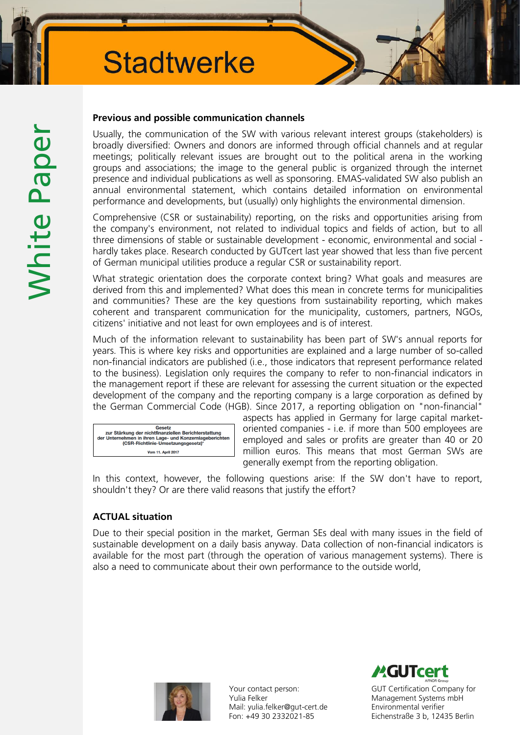### Previous and possible communication channels

Usually, the communication of the SW with various relevant interest groups (stakeholders) is broadly diversified: Owners and donors are informed through official channels and at regular meetings; politically relevant issues are brought out to the political arena in the working groups and associations; the image to the general public is organized through the internet presence and individual publications as well as sponsoring. EMAS-validated SW also publish an annual environmental statement, which contains detailed information on environmental performance and developments, but (usually) only highlights the environmental dimension.

Comprehensive (CSR or sustainability) reporting, on the risks and opportunities arising from the company's environment, not related to individual topics and fields of action, but to all three dimensions of stable or sustainable development - economic, environmental and social hardly takes place. Research conducted by GUTcert last year showed that less than five percent of German municipal utilities produce a regular CSR or sustainability report.

What strategic orientation does the corporate context bring? What goals and measures are derived from this and implemented? What does this mean in concrete terms for municipalities and communities? These are the key questions from sustainability reporting, which makes coherent and transparent communication for the municipality, customers, partners, NGOs, citizens' initiative and not least for own employees and is of interest.

Much of the information relevant to sustainability has been part of SW's annual reports for years. This is where key risks and opportunities are explained and a large number of so-called non-financial indicators are published (i.e., those indicators that represent performance related to the business). Legislation only requires the company to refer to non-financial indicators in the management report if these are relevant for assessing the current situation or the expected development of the company and the reporting company is a large corporation as defined by the German Commercial Code (HGB). Since 2017, a reporting obligation on "non-financial"



aspects has applied in Germany for large capital marketoriented companies - i.e. if more than 500 employees are employed and sales or profits are greater than 40 or 20 million euros. This means that most German SWs are generally exempt from the reporting obligation.

In this context, however, the following questions arise: If the SW don't have to report, shouldn't they? Or are there valid reasons that justify the effort?

## ACTUAL situation

Due to their special position in the market, German SEs deal with many issues in the field of sustainable development on a daily basis anyway. Data collection of non-financial indicators is available for the most part (through the operation of various management systems). There is also a need to communicate about their own performance to the outside world,



Your contact person: Yulia Felker Mail: [yulia.felker@gut-cert.de](mailto:yulia.felker@gut-cert.de) Fon: +49 30 2332021-85

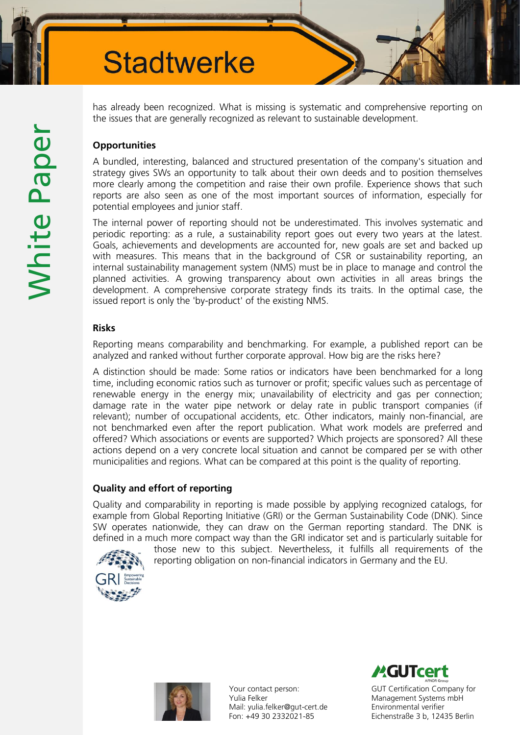has already been recognized. What is missing is systematic and comprehensive reporting on the issues that are generally recognized as relevant to sustainable development.

# **Opportunities**

A bundled, interesting, balanced and structured presentation of the company's situation and strategy gives SWs an opportunity to talk about their own deeds and to position themselves more clearly among the competition and raise their own profile. Experience shows that such reports are also seen as one of the most important sources of information, especially for potential employees and junior staff.

The internal power of reporting should not be underestimated. This involves systematic and periodic reporting: as a rule, a sustainability report goes out every two years at the latest. Goals, achievements and developments are accounted for, new goals are set and backed up with measures. This means that in the background of CSR or sustainability reporting, an internal sustainability management system (NMS) must be in place to manage and control the planned activities. A growing transparency about own activities in all areas brings the development. A comprehensive corporate strategy finds its traits. In the optimal case, the issued report is only the 'by-product' of the existing NMS.

### Risks

Reporting means comparability and benchmarking. For example, a published report can be analyzed and ranked without further corporate approval. How big are the risks here?

A distinction should be made: Some ratios or indicators have been benchmarked for a long time, including economic ratios such as turnover or profit; specific values such as percentage of renewable energy in the energy mix; unavailability of electricity and gas per connection; damage rate in the water pipe network or delay rate in public transport companies (if relevant); number of occupational accidents, etc. Other indicators, mainly non-financial, are not benchmarked even after the report publication. What work models are preferred and offered? Which associations or events are supported? Which projects are sponsored? All these actions depend on a very concrete local situation and cannot be compared per se with other municipalities and regions. What can be compared at this point is the quality of reporting.

## Quality and effort of reporting

Quality and comparability in reporting is made possible by applying recognized catalogs, for example from Global Reporting Initiative (GRI) or the German Sustainability Code (DNK). Since SW operates nationwide, they can draw on the German reporting standard. The DNK is defined in a much more compact way than the GRI indicator set and is particularly suitable for



those new to this subject. Nevertheless, it fulfills all requirements of the reporting obligation on non-financial indicators in Germany and the EU.



Your contact person: Yulia Felker Mail: [yulia.felker@gut-cert.de](mailto:yulia.felker@gut-cert.de) Fon: +49 30 2332021-85

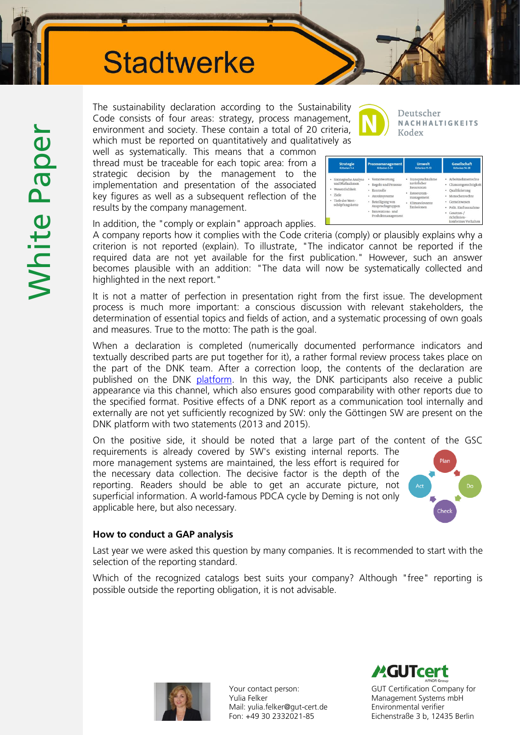# **Stadtwerke**

White Paper White Paper

The sustainability declaration according to the Sustainabilit Code consists of four areas: strategy, process management environment and society. These contain a total of 20 criteria which must be reported on quantitatively and qualitatively as

well as systematically. This means that a common thread must be traceable for each topic area: from a strategic decision by the management to the implementation and presentation of the associated key figures as well as a subsequent reflection of the results by the company management.

| ty  |  |
|-----|--|
| ıt, |  |
| a,  |  |
| חר  |  |

Deutscher NACHHALTIGKEITS Kodex

|        | <b>Strategie</b>                                                                                           | Prozessmanagement                                                                                                                                                            | <b>Umwelt</b>                                                                                                            | <b>Gesellschaft</b>                                                                                                                                                                            |
|--------|------------------------------------------------------------------------------------------------------------|------------------------------------------------------------------------------------------------------------------------------------------------------------------------------|--------------------------------------------------------------------------------------------------------------------------|------------------------------------------------------------------------------------------------------------------------------------------------------------------------------------------------|
|        | Kriterien 1-4                                                                                              | Kriterien 5-10                                                                                                                                                               | Kriterien 11-13                                                                                                          | Kriterien 14-20                                                                                                                                                                                |
| ٠<br>٠ | Strategische Analyse<br>und Maßnahmen<br>· Wesentlichkeit<br>Ziele<br>· Tiefe der Wert-<br>schöpfungskette | Verantwortung<br>٠<br>· Regeln und Prozesse<br>Kontrolle<br>٠<br>Anreizsysteme<br>٠<br>Beteiligung von<br>٠<br>Anspruchsgruppen<br>Innovations-und<br>٠<br>Produktmanagement | Inanspruchnahme<br>٠<br>natürlicher<br>Ressourcen<br>Ressourcen-<br>٠<br>management<br>Klimarelevante<br>٠<br>Emissionen | Arbeitnehmerrechte<br>Chancengerechtigkeit<br>٠<br>Qualifizierung<br>٠<br>Menschenrechte<br>۰<br>Gemeinwesen<br>Polit. Einflussnahme<br>Gesetzes-/<br>۰<br>richtlinien-<br>konformes Verhalten |

In addition, the "comply or explain" approach applies.

A company reports how it complies with the Code criteria (comply) or plausibly explains why a criterion is not reported (explain). To illustrate, "The indicator cannot be reported if the required data are not yet available for the first publication." However, such an answer becomes plausible with an addition: "The data will now be systematically collected and highlighted in the next report."

It is not a matter of perfection in presentation right from the first issue. The development process is much more important: a conscious discussion with relevant stakeholders, the determination of essential topics and fields of action, and a systematic processing of own goals and measures. True to the motto: The path is the goal.

When a declaration is completed (numerically documented performance indicators and textually described parts are put together for it), a rather formal review process takes place on the part of the DNK team. After a correction loop, the contents of the declaration are published on the DNK [platform.](http://www.deutscher-nachhaltigkeitskodex.de/de/datenbank/dnk-datenbank.html) In this way, the DNK participants also receive a public appearance via this channel, which also ensures good comparability with other reports due to the specified format. Positive effects of a DNK report as a communication tool internally and externally are not yet sufficiently recognized by SW: only the Göttingen SW are present on the DNK platform with two statements (2013 and 2015).

On the positive side, it should be noted that a large part of the content of the GSC

requirements is already covered by SW's existing internal reports. The more management systems are maintained, the less effort is required for the necessary data collection. The decisive factor is the depth of the reporting. Readers should be able to get an accurate picture, not superficial information. A world-famous PDCA cycle by Deming is not only applicable here, but also necessary.



#### How to conduct a GAP analysis

Last year we were asked this question by many companies. It is recommended to start with the selection of the reporting standard.

Which of the recognized catalogs best suits your company? Although "free" reporting is possible outside the reporting obligation, it is not advisable.



Your contact person: Yulia Felker Mail: [yulia.felker@gut-cert.de](mailto:yulia.felker@gut-cert.de) Fon: +49 30 2332021-85